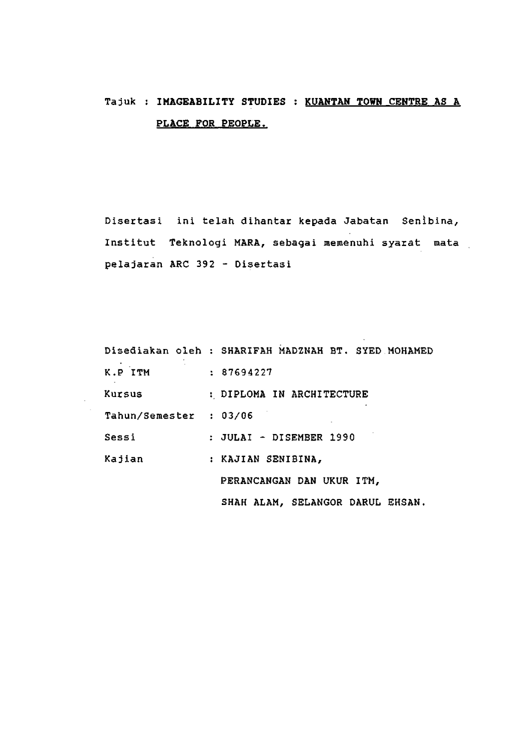# Tajuk : **IMAGEABILITY STUDIES : KUANTAN TOWM CEHTRE AS A PLACE FOR PEOPLE.**

Disertasi ini telah dihantar kepada Jabatan Senibina, Institut Teknologi MARA, sebagai memenuhi syarat mata pelajaran ARC 392 - Disertasi

 $\sim 10^{-1}$ 

|                        | Disediakan oleh : SHARIFAH MADZNAH BT. SYED MOHAMED |
|------------------------|-----------------------------------------------------|
| K.P ITM                | : 87694227                                          |
| Kursus                 | : DIPLOMA IN ARCHITECTURE                           |
| Tahun/Semester : 03/06 |                                                     |
| Sessi                  | : JULAI - DISEMBER 1990                             |
| Kajian                 | : KAJIAN SENIBINA,                                  |
|                        | PERANCANGAN DAN UKUR ITM,                           |
|                        | SHAH ALAM, SELANGOR DARUL EHSAN.                    |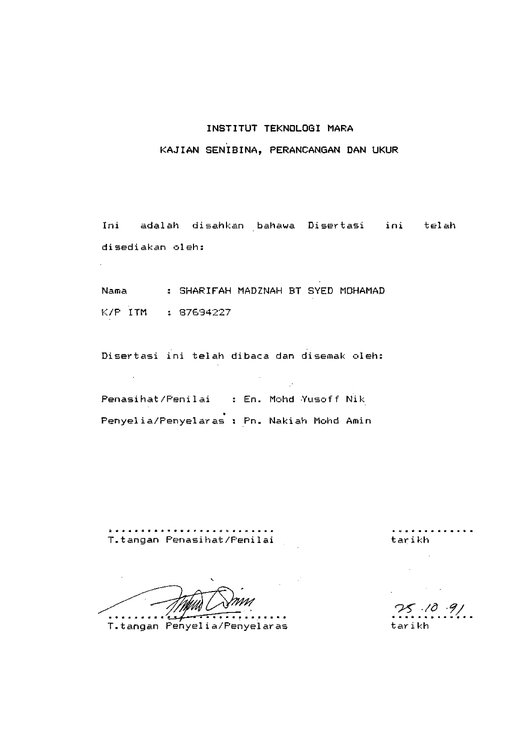## **INSTITUT TEKNOLOGI MARA**

# **KAJIAN SENIBINA, PERANCANGAN DAN UKUR**

Ini adalah disahkan bahawa Disertasi ini telah di sediakan oleh:

Nama : SHARIFAH MAD2NAH BT SYED MOHAMAD K/P ITM : 87634227

Disertasi ini telah dibaca dan disemak oleh:

Penasihat/Peni1ai s En. Mohd Yusof f Nik Penyelia/Penyelaras : Pn. Nakiah Mohd Amin

T.tangan Penasihat/Penilai tar tarikh

<del>. . . .</del> .  $\alpha$  ,  $\alpha$  ,  $\alpha$ 

T.tangan Penyelia/Penyelaras tarikh

. **. . . . . . . . . .** .

 $25.10.91$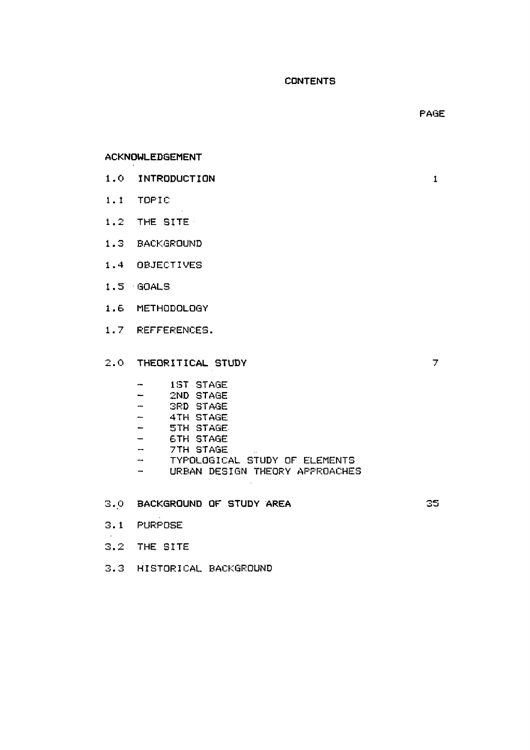## **CONTENTS**

#### **ACKNOWLEDGEMENT**

- **1.0 INTRODUCTION** 1
- 1.1 TOPIC
- 1.2 THE SITE
- 1.3 BACKGROUND
- 1.4 OBJECTIVES
- 1.5 GOALS
- 1.6 METHODOLOGY
- 1.7 REFFERENCES.
- 2.0 **THEORITICAL STUDY** 7
	- 1ST STAGE  $\frac{1}{2}$
	- 2ND STAGE  $\blacksquare$
	- $\overline{\phantom{a}}$ 3RD STAGE
	- $\frac{1}{2}$ 4TH STAGE
	- $\frac{1}{2}$ 5TH STAGE-
	- $\frac{1}{2}$ 6TH STAGE
	- $\rightarrow$ 7TH STAGE
	- TYPOLOGICAL STUDY OF ELEMENTS  $\frac{1}{2}$
	- URBAN DESIGN THEORY APPROACHES  $\frac{1}{2}$
- 3.0 **BACKGROUND OF STUDY AREA** 35

- 3.1 PURPOSE
- 3.2 THE SITE
- 3.3 HISTORICAL BACKGROUND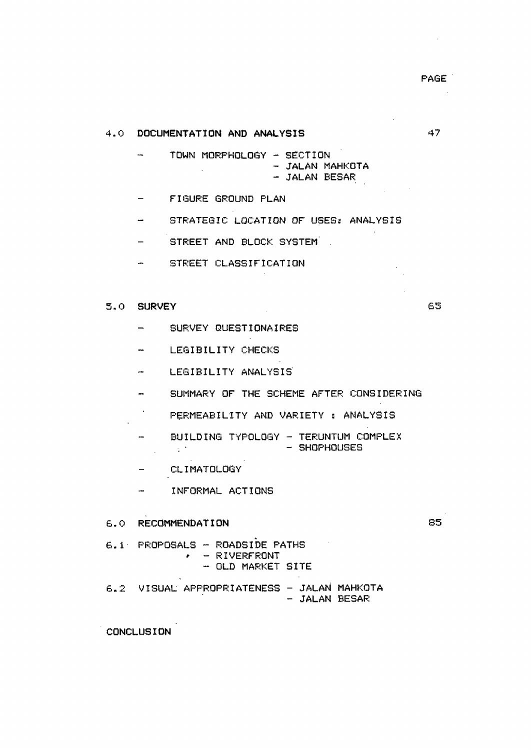47

65

## **4.0 DOCUMENTATION AND ANALYSIS**

- TOWN MORPHOLOGY SECTION - JALAN MAHKOTA  $\mathcal{L}_{\text{max}}$  $-$  JALAN BESAR
- $\frac{1}{2}$ FIGURE GROUND PLAN
- STRATEGIC LOCATION OF USES: ANALYSIS  $\frac{1}{2}$
- STREET AND BLOCK SYSTEM  $\equiv$
- STREET CLASSIFICATION

# 5.0 **SURVEY**

- $\overline{\phantom{a}}$ SURVEY GUESTIONAIRES
- $\sim$  100  $\sim$ LEGIBILITY CHECKS
- LEGIBILITY ANALYSIS' and in
- SUMMARY OF THE SCHEME AFTER CONSIDERING  $\mathbf{m} = \mathbf{0}$
- $\epsilon_{\rm{max}}$ PERMEABILITY AND VARIETY : ANALYSIS
- BUILDING TYPOLOGY TERUNTUM COMPLEX<br>- SHOPHOUSES  $\mathbf{m}$  $\sim$  10
- CLIMATOLOGY  $\sim$   $-$
- INFORMAL ACTIONS and .

#### 6.0 **RECOMMENDATION**

85

 $6.1$ - PROPOSALS - ROADSIDE PATHS  $\cdot$  - RIVERFRONT - OLD MARKET SITE 6.2 VISUAL APPROPRIATENESS - JALAN MAHKOTA

- JALAN BESAR

**CONCLUSION**